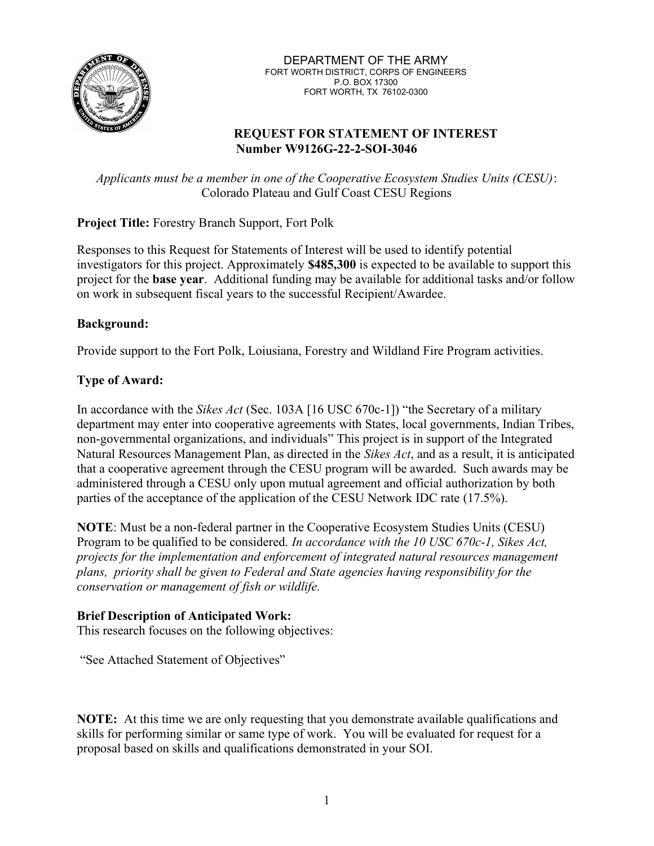

DEPARTMENT OF THE ARMY FORT WORTH DISTRICT, CORPS OF ENGINEERS P.O. BOX 17300 FORT WORTH, TX 76102-0300

### REQUEST FOR STATEMENT OF INTEREST Number W9126G-22-2-SOI-3046

Applicants must be a member in one of the Cooperative Ecosystem Studies Units (CESU): Colorado Plateau and Gulf Coast CESU Regions

## Project Title: Forestry Branch Support, Fort Polk

Responses to this Request for Statements of Interest will be used to identify potential investigators for this project. Approximately \$485,300 is expected to be available to support this project for the base year. Additional funding may be available for additional tasks and/or follow on work in subsequent fiscal years to the successful Recipient/Awardee.

### Background:

Provide support to the Fort Polk, Loiusiana, Forestry and Wildland Fire Program activities.

## Type of Award:

In accordance with the *Sikes Act* (Sec. 103A [16 USC 670c-1]) "the Secretary of a military department may enter into cooperative agreements with States, local governments, Indian Tribes, non-governmental organizations, and individuals" This project is in support of the Integrated Natural Resources Management Plan, as directed in the Sikes Act, and as a result, it is anticipated that a cooperative agreement through the CESU program will be awarded. Such awards may be administered through a CESU only upon mutual agreement and official authorization by both parties of the acceptance of the application of the CESU Network IDC rate (17.5%).

NOTE: Must be a non-federal partner in the Cooperative Ecosystem Studies Units (CESU) Program to be qualified to be considered. In accordance with the 10 USC 670c-1, Sikes Act, projects for the implementation and enforcement of integrated natural resources management plans, priority shall be given to Federal and State agencies having responsibility for the conservation or management of fish or wildlife.

### Brief Description of Anticipated Work:

This research focuses on the following objectives:

"See Attached Statement of Objectives"

NOTE: At this time we are only requesting that you demonstrate available qualifications and skills for performing similar or same type of work. You will be evaluated for request for a proposal based on skills and qualifications demonstrated in your SOI.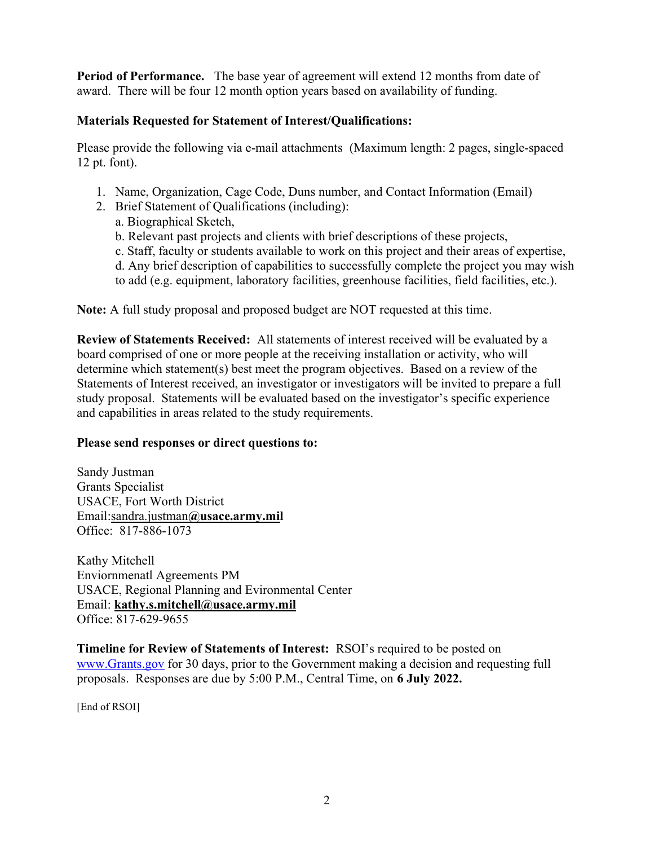Period of Performance. The base year of agreement will extend 12 months from date of award. There will be four 12 month option years based on availability of funding.

## Materials Requested for Statement of Interest/Qualifications:

Please provide the following via e-mail attachments (Maximum length: 2 pages, single-spaced 12 pt. font).

- 1. Name, Organization, Cage Code, Duns number, and Contact Information (Email)
- 2. Brief Statement of Qualifications (including):
	- a. Biographical Sketch,
	- b. Relevant past projects and clients with brief descriptions of these projects,
	- c. Staff, faculty or students available to work on this project and their areas of expertise,
	- d. Any brief description of capabilities to successfully complete the project you may wish
	- to add (e.g. equipment, laboratory facilities, greenhouse facilities, field facilities, etc.).

Note: A full study proposal and proposed budget are NOT requested at this time.

Review of Statements Received: All statements of interest received will be evaluated by a board comprised of one or more people at the receiving installation or activity, who will determine which statement(s) best meet the program objectives. Based on a review of the Statements of Interest received, an investigator or investigators will be invited to prepare a full study proposal. Statements will be evaluated based on the investigator's specific experience and capabilities in areas related to the study requirements.

## Please send responses or direct questions to:

Sandy Justman Grants Specialist USACE, Fort Worth District Email:sandra.justman@usace.army.mil Office: 817-886-1073

Kathy Mitchell Enviornmenatl Agreements PM USACE, Regional Planning and Evironmental Center Email: kathy.s.mitchell@usace.army.mil Office: 817-629-9655

Timeline for Review of Statements of Interest: RSOI's required to be posted on www.Grants.gov for 30 days, prior to the Government making a decision and requesting full proposals. Responses are due by 5:00 P.M., Central Time, on 6 July 2022.

[End of RSOI]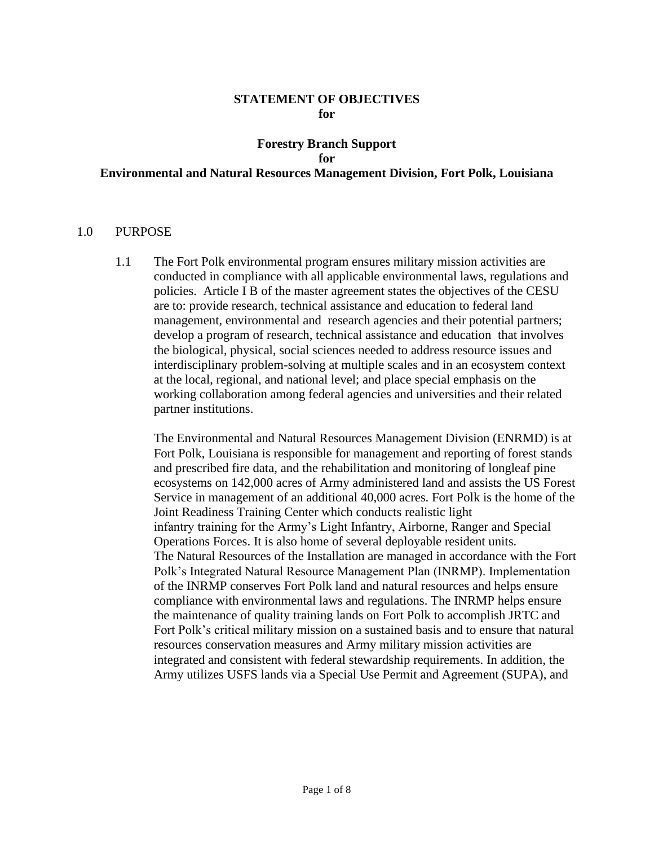### **STATEMENT OF OBJECTIVES for**

## **Forestry Branch Support for Environmental and Natural Resources Management Division, Fort Polk, Louisiana**

### 1.0 PURPOSE

1.1 The Fort Polk environmental program ensures military mission activities are conducted in compliance with all applicable environmental laws, regulations and policies. Article I B of the master agreement states the objectives of the CESU are to: provide research, technical assistance and education to federal land management, environmental and research agencies and their potential partners; develop a program of research, technical assistance and education that involves the biological, physical, social sciences needed to address resource issues and interdisciplinary problem-solving at multiple scales and in an ecosystem context at the local, regional, and national level; and place special emphasis on the working collaboration among federal agencies and universities and their related partner institutions.

The Environmental and Natural Resources Management Division (ENRMD) is at Fort Polk, Louisiana is responsible for management and reporting of forest stands and prescribed fire data, and the rehabilitation and monitoring of longleaf pine ecosystems on 142,000 acres of Army administered land and assists the US Forest Service in management of an additional 40,000 acres. Fort Polk is the home of the Joint Readiness Training Center which conducts realistic light infantry training for the Army's Light Infantry, Airborne, Ranger and Special Operations Forces. It is also home of several deployable resident units. The Natural Resources of the Installation are managed in accordance with the Fort Polk's Integrated Natural Resource Management Plan (INRMP). Implementation of the INRMP conserves Fort Polk land and natural resources and helps ensure compliance with environmental laws and regulations. The INRMP helps ensure the maintenance of quality training lands on Fort Polk to accomplish JRTC and Fort Polk's critical military mission on a sustained basis and to ensure that natural resources conservation measures and Army military mission activities are integrated and consistent with federal stewardship requirements. In addition, the Army utilizes USFS lands via a Special Use Permit and Agreement (SUPA), and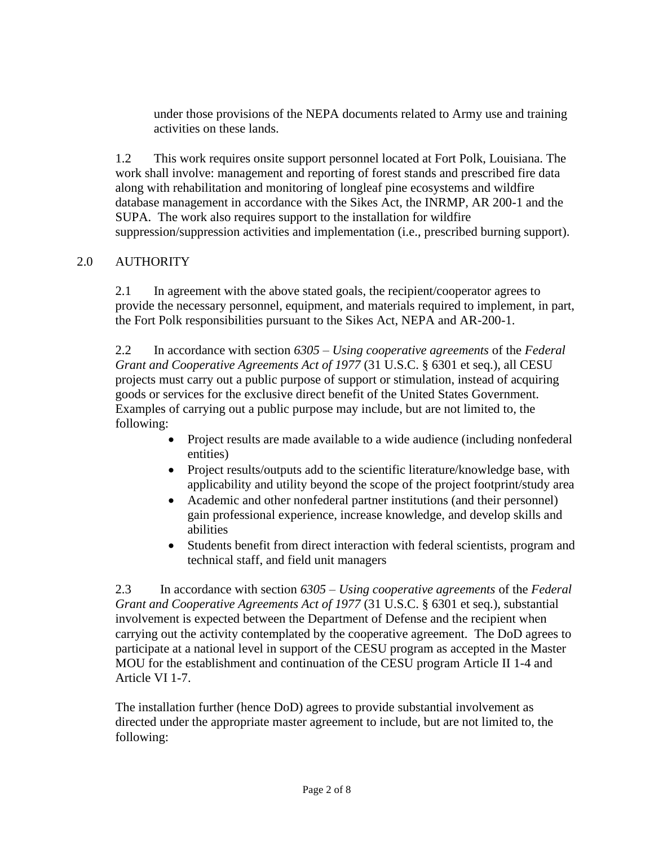under those provisions of the NEPA documents related to Army use and training activities on these lands.

1.2 This work requires onsite support personnel located at Fort Polk, Louisiana. The work shall involve: management and reporting of forest stands and prescribed fire data along with rehabilitation and monitoring of longleaf pine ecosystems and wildfire database management in accordance with the Sikes Act, the INRMP, AR 200-1 and the SUPA. The work also requires support to the installation for wildfire suppression/suppression activities and implementation (i.e., prescribed burning support).

# 2.0 AUTHORITY

2.1 In agreement with the above stated goals, the recipient/cooperator agrees to provide the necessary personnel, equipment, and materials required to implement, in part, the Fort Polk responsibilities pursuant to the Sikes Act, NEPA and AR-200-1.

2.2 In accordance with section *6305 – Using cooperative agreements* of the *Federal Grant and Cooperative Agreements Act of 1977* (31 U.S.C. § 6301 et seq.), all CESU projects must carry out a public purpose of support or stimulation, instead of acquiring goods or services for the exclusive direct benefit of the United States Government. Examples of carrying out a public purpose may include, but are not limited to, the following:

- Project results are made available to a wide audience (including nonfederal entities)
- Project results/outputs add to the scientific literature/knowledge base, with applicability and utility beyond the scope of the project footprint/study area
- Academic and other nonfederal partner institutions (and their personnel) gain professional experience, increase knowledge, and develop skills and abilities
- Students benefit from direct interaction with federal scientists, program and technical staff, and field unit managers

2.3 In accordance with section *6305 – Using cooperative agreements* of the *Federal Grant and Cooperative Agreements Act of 1977* (31 U.S.C. § 6301 et seq.), substantial involvement is expected between the Department of Defense and the recipient when carrying out the activity contemplated by the cooperative agreement. The DoD agrees to participate at a national level in support of the CESU program as accepted in the Master MOU for the establishment and continuation of the CESU program Article II 1-4 and Article VI 1-7.

The installation further (hence DoD) agrees to provide substantial involvement as directed under the appropriate master agreement to include, but are not limited to, the following: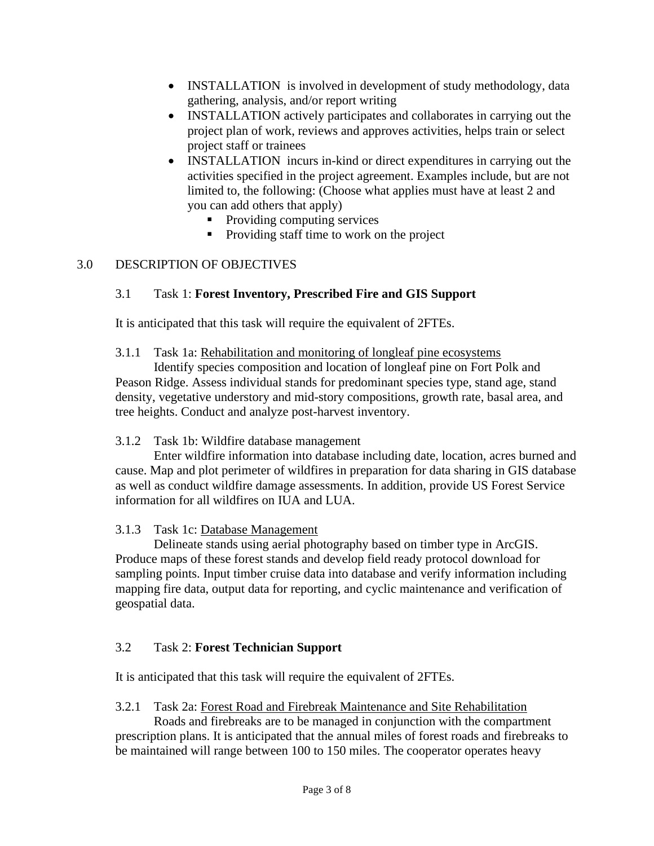- INSTALLATION is involved in development of study methodology, data gathering, analysis, and/or report writing
- INSTALLATION actively participates and collaborates in carrying out the project plan of work, reviews and approves activities, helps train or select project staff or trainees
- INSTALLATION incurs in-kind or direct expenditures in carrying out the activities specified in the project agreement. Examples include, but are not limited to, the following: (Choose what applies must have at least 2 and you can add others that apply)
	- Providing computing services
	- Providing staff time to work on the project

# 3.0 DESCRIPTION OF OBJECTIVES

# 3.1 Task 1: **Forest Inventory, Prescribed Fire and GIS Support**

It is anticipated that this task will require the equivalent of 2FTEs.

## 3.1.1 Task 1a: Rehabilitation and monitoring of longleaf pine ecosystems

Identify species composition and location of longleaf pine on Fort Polk and Peason Ridge. Assess individual stands for predominant species type, stand age, stand density, vegetative understory and mid-story compositions, growth rate, basal area, and tree heights. Conduct and analyze post-harvest inventory.

# 3.1.2 Task 1b: Wildfire database management

Enter wildfire information into database including date, location, acres burned and cause. Map and plot perimeter of wildfires in preparation for data sharing in GIS database as well as conduct wildfire damage assessments. In addition, provide US Forest Service information for all wildfires on IUA and LUA.

# 3.1.3 Task 1c: Database Management

Delineate stands using aerial photography based on timber type in ArcGIS. Produce maps of these forest stands and develop field ready protocol download for sampling points. Input timber cruise data into database and verify information including mapping fire data, output data for reporting, and cyclic maintenance and verification of geospatial data.

# 3.2 Task 2: **Forest Technician Support**

It is anticipated that this task will require the equivalent of 2FTEs.

## 3.2.1 Task 2a: Forest Road and Firebreak Maintenance and Site Rehabilitation

Roads and firebreaks are to be managed in conjunction with the compartment prescription plans. It is anticipated that the annual miles of forest roads and firebreaks to be maintained will range between 100 to 150 miles. The cooperator operates heavy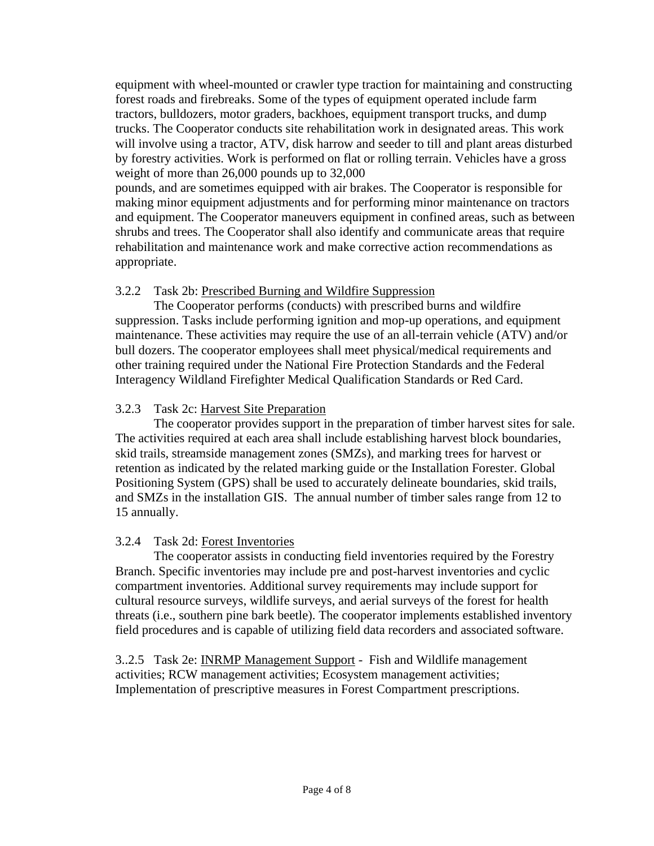equipment with wheel-mounted or crawler type traction for maintaining and constructing forest roads and firebreaks. Some of the types of equipment operated include farm tractors, bulldozers, motor graders, backhoes, equipment transport trucks, and dump trucks. The Cooperator conducts site rehabilitation work in designated areas. This work will involve using a tractor, ATV, disk harrow and seeder to till and plant areas disturbed by forestry activities. Work is performed on flat or rolling terrain. Vehicles have a gross weight of more than 26,000 pounds up to 32,000

pounds, and are sometimes equipped with air brakes. The Cooperator is responsible for making minor equipment adjustments and for performing minor maintenance on tractors and equipment. The Cooperator maneuvers equipment in confined areas, such as between shrubs and trees. The Cooperator shall also identify and communicate areas that require rehabilitation and maintenance work and make corrective action recommendations as appropriate.

### 3.2.2 Task 2b: Prescribed Burning and Wildfire Suppression

The Cooperator performs (conducts) with prescribed burns and wildfire suppression. Tasks include performing ignition and mop-up operations, and equipment maintenance. These activities may require the use of an all-terrain vehicle (ATV) and/or bull dozers. The cooperator employees shall meet physical/medical requirements and other training required under the National Fire Protection Standards and the Federal Interagency Wildland Firefighter Medical Qualification Standards or Red Card.

#### 3.2.3 Task 2c: Harvest Site Preparation

The cooperator provides support in the preparation of timber harvest sites for sale. The activities required at each area shall include establishing harvest block boundaries, skid trails, streamside management zones (SMZs), and marking trees for harvest or retention as indicated by the related marking guide or the Installation Forester. Global Positioning System (GPS) shall be used to accurately delineate boundaries, skid trails, and SMZs in the installation GIS. The annual number of timber sales range from 12 to 15 annually.

### 3.2.4 Task 2d: Forest Inventories

The cooperator assists in conducting field inventories required by the Forestry Branch. Specific inventories may include pre and post-harvest inventories and cyclic compartment inventories. Additional survey requirements may include support for cultural resource surveys, wildlife surveys, and aerial surveys of the forest for health threats (i.e., southern pine bark beetle). The cooperator implements established inventory field procedures and is capable of utilizing field data recorders and associated software.

3..2.5 Task 2e: INRMP Management Support - Fish and Wildlife management activities; RCW management activities; Ecosystem management activities; Implementation of prescriptive measures in Forest Compartment prescriptions.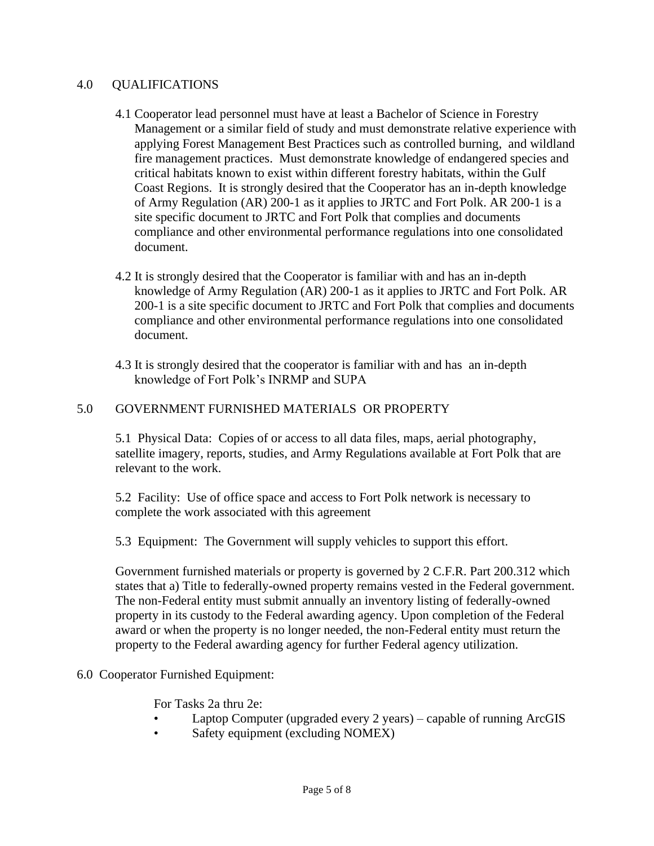### 4.0 QUALIFICATIONS

- 4.1 Cooperator lead personnel must have at least a Bachelor of Science in Forestry Management or a similar field of study and must demonstrate relative experience with applying Forest Management Best Practices such as controlled burning, and wildland fire management practices. Must demonstrate knowledge of endangered species and critical habitats known to exist within different forestry habitats, within the Gulf Coast Regions. It is strongly desired that the Cooperator has an in-depth knowledge of Army Regulation (AR) 200-1 as it applies to JRTC and Fort Polk. AR 200-1 is a site specific document to JRTC and Fort Polk that complies and documents compliance and other environmental performance regulations into one consolidated document.
- 4.2 It is strongly desired that the Cooperator is familiar with and has an in-depth knowledge of Army Regulation (AR) 200-1 as it applies to JRTC and Fort Polk. AR 200-1 is a site specific document to JRTC and Fort Polk that complies and documents compliance and other environmental performance regulations into one consolidated document.
- 4.3 It is strongly desired that the cooperator is familiar with and has an in-depth knowledge of Fort Polk's INRMP and SUPA

### 5.0 GOVERNMENT FURNISHED MATERIALS OR PROPERTY

5.1 Physical Data: Copies of or access to all data files, maps, aerial photography, satellite imagery, reports, studies, and Army Regulations available at Fort Polk that are relevant to the work.

5.2 Facility: Use of office space and access to Fort Polk network is necessary to complete the work associated with this agreement

5.3 Equipment: The Government will supply vehicles to support this effort.

Government furnished materials or property is governed by 2 C.F.R. Part 200.312 which states that a) Title to federally-owned property remains vested in the Federal government. The non-Federal entity must submit annually an inventory listing of federally-owned property in its custody to the Federal awarding agency. Upon completion of the Federal award or when the property is no longer needed, the non-Federal entity must return the property to the Federal awarding agency for further Federal agency utilization.

### 6.0 Cooperator Furnished Equipment:

For Tasks 2a thru 2e:

- Laptop Computer (upgraded every 2 years) capable of running ArcGIS
- Safety equipment (excluding NOMEX)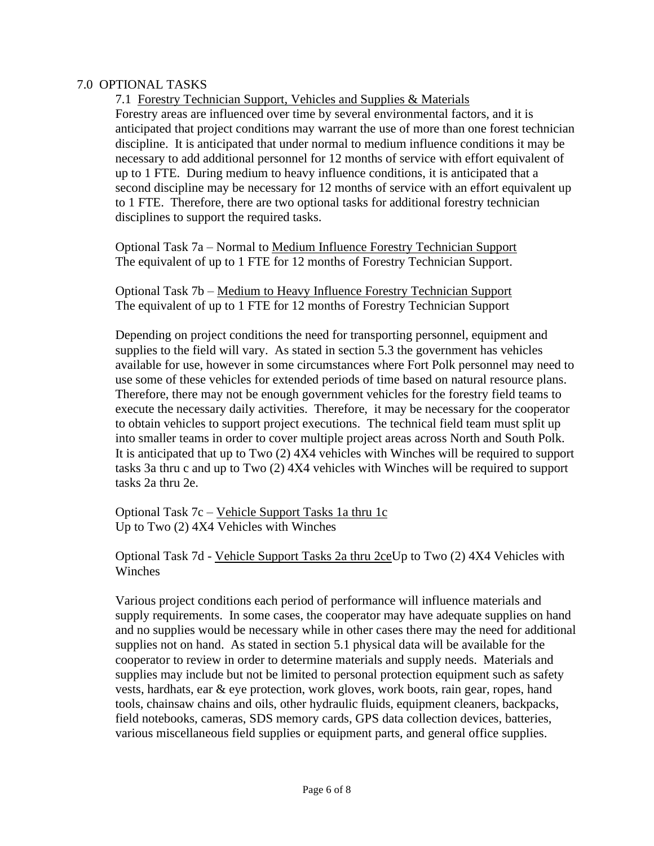### 7.0 OPTIONAL TASKS

7.1 Forestry Technician Support, Vehicles and Supplies & Materials Forestry areas are influenced over time by several environmental factors, and it is anticipated that project conditions may warrant the use of more than one forest technician discipline. It is anticipated that under normal to medium influence conditions it may be necessary to add additional personnel for 12 months of service with effort equivalent of up to 1 FTE. During medium to heavy influence conditions, it is anticipated that a second discipline may be necessary for 12 months of service with an effort equivalent up to 1 FTE. Therefore, there are two optional tasks for additional forestry technician disciplines to support the required tasks.

Optional Task 7a – Normal to Medium Influence Forestry Technician Support The equivalent of up to 1 FTE for 12 months of Forestry Technician Support.

Optional Task 7b – Medium to Heavy Influence Forestry Technician Support The equivalent of up to 1 FTE for 12 months of Forestry Technician Support

Depending on project conditions the need for transporting personnel, equipment and supplies to the field will vary. As stated in section 5.3 the government has vehicles available for use, however in some circumstances where Fort Polk personnel may need to use some of these vehicles for extended periods of time based on natural resource plans. Therefore, there may not be enough government vehicles for the forestry field teams to execute the necessary daily activities. Therefore, it may be necessary for the cooperator to obtain vehicles to support project executions. The technical field team must split up into smaller teams in order to cover multiple project areas across North and South Polk. It is anticipated that up to Two (2) 4X4 vehicles with Winches will be required to support tasks 3a thru c and up to Two (2) 4X4 vehicles with Winches will be required to support tasks 2a thru 2e.

Optional Task 7c – Vehicle Support Tasks 1a thru 1c Up to Two (2) 4X4 Vehicles with Winches

Optional Task 7d - Vehicle Support Tasks 2a thru 2ceUp to Two (2) 4X4 Vehicles with Winches

Various project conditions each period of performance will influence materials and supply requirements. In some cases, the cooperator may have adequate supplies on hand and no supplies would be necessary while in other cases there may the need for additional supplies not on hand. As stated in section 5.1 physical data will be available for the cooperator to review in order to determine materials and supply needs. Materials and supplies may include but not be limited to personal protection equipment such as safety vests, hardhats, ear & eye protection, work gloves, work boots, rain gear, ropes, hand tools, chainsaw chains and oils, other hydraulic fluids, equipment cleaners, backpacks, field notebooks, cameras, SDS memory cards, GPS data collection devices, batteries, various miscellaneous field supplies or equipment parts, and general office supplies.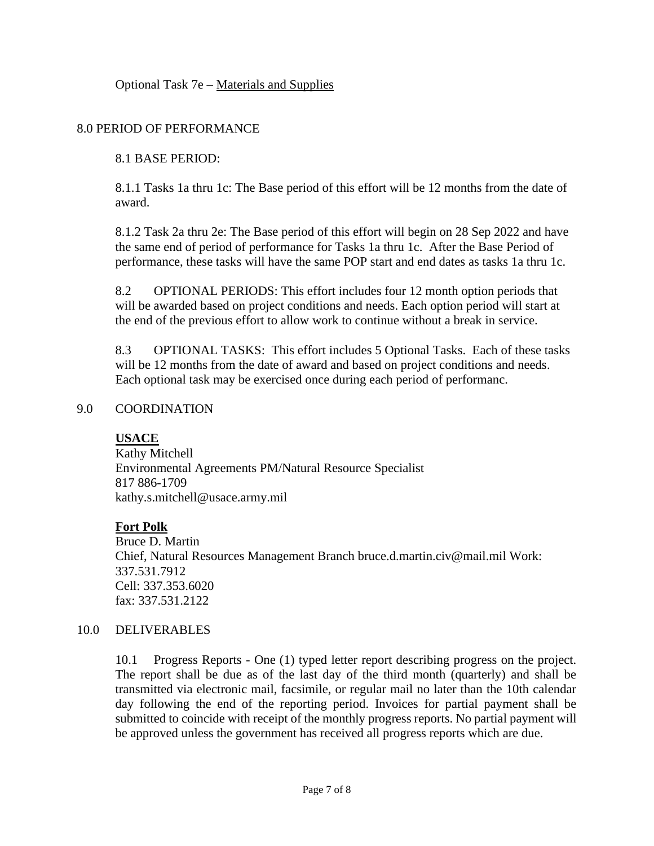Optional Task 7e – Materials and Supplies

### 8.0 PERIOD OF PERFORMANCE

### 8.1 BASE PERIOD:

8.1.1 Tasks 1a thru 1c: The Base period of this effort will be 12 months from the date of award.

8.1.2 Task 2a thru 2e: The Base period of this effort will begin on 28 Sep 2022 and have the same end of period of performance for Tasks 1a thru 1c. After the Base Period of performance, these tasks will have the same POP start and end dates as tasks 1a thru 1c.

8.2 OPTIONAL PERIODS: This effort includes four 12 month option periods that will be awarded based on project conditions and needs. Each option period will start at the end of the previous effort to allow work to continue without a break in service.

8.3 OPTIONAL TASKS: This effort includes 5 Optional Tasks. Each of these tasks will be 12 months from the date of award and based on project conditions and needs. Each optional task may be exercised once during each period of performanc.

### 9.0 COORDINATION

### **USACE**

Kathy Mitchell Environmental Agreements PM/Natural Resource Specialist 817 886-1709 kathy.s.mitchell@usace.army.mil

### **Fort Polk**

Bruce D. Martin Chief, Natural Resources Management Branch bruce.d.martin.civ@mail.mil Work: 337.531.7912 Cell: 337.353.6020 fax: 337.531.2122

### 10.0 DELIVERABLES

10.1 Progress Reports - One (1) typed letter report describing progress on the project. The report shall be due as of the last day of the third month (quarterly) and shall be transmitted via electronic mail, facsimile, or regular mail no later than the 10th calendar day following the end of the reporting period. Invoices for partial payment shall be submitted to coincide with receipt of the monthly progress reports. No partial payment will be approved unless the government has received all progress reports which are due.